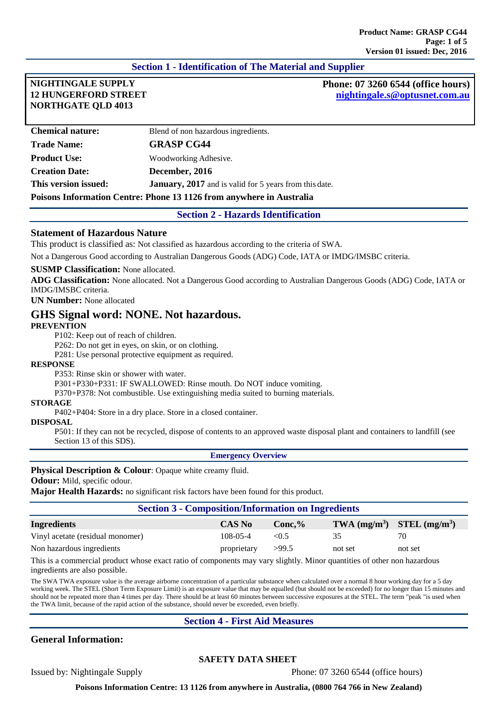# **Section 1 - Identification of The Material and Supplier**

# **12 HUNGERFORD STREET NORTHGATE QLD 4013**

**NIGHTINGALE SUPPLY Phone: 07 3260 6544 (office hours) [nightingale.s@optusnet.com.au](mailto:nightingale.s@optusnet.com.au)**

| <b>Chemical nature:</b>                                              | Blend of non hazardous ingredients.                           |
|----------------------------------------------------------------------|---------------------------------------------------------------|
| <b>Trade Name:</b>                                                   | <b>GRASP CG44</b>                                             |
| <b>Product Use:</b>                                                  | Woodworking Adhesive.                                         |
| <b>Creation Date:</b>                                                | December, 2016                                                |
| This version issued:                                                 | <b>January, 2017</b> and is valid for 5 years from this date. |
| Poisons Information Centre: Phone 13 1126 from anywhere in Australia |                                                               |

**Section 2 - Hazards Identification**

#### **Statement of Hazardous Nature**

This product is classified as: Not classified as hazardous according to the criteria of SWA.

Not a Dangerous Good according to Australian Dangerous Goods (ADG) Code, IATA or IMDG/IMSBC criteria.

#### **SUSMP Classification:** None allocated.

**ADG Classification:** None allocated. Not a Dangerous Good according to Australian Dangerous Goods (ADG) Code, IATA or IMDG/IMSBC criteria.

**UN Number:** None allocated

## **GHS Signal word: NONE. Not hazardous.**

#### **PREVENTION**

P102: Keep out of reach of children.

P262: Do not get in eyes, on skin, or on clothing.

P281: Use personal protective equipment as required.

#### **RESPONSE**

P353: Rinse skin or shower with water.

P301+P330+P331: IF SWALLOWED: Rinse mouth. Do NOT induce vomiting.

P370+P378: Not combustible. Use extinguishing media suited to burning materials.

#### **STORAGE**

P402+P404: Store in a dry place. Store in a closed container.

#### **DISPOSAL**

P501: If they can not be recycled, dispose of contents to an approved waste disposal plant and containers to landfill (see Section 13 of this SDS).

#### **Emergency Overview**

**Physical Description & Colour:** Opaque white creamy fluid.

**Odour:** Mild, specific odour.

**Major Health Hazards:** no significant risk factors have been found for this product.

#### **Section 3 - Composition/Information on Ingredients**

| <b>Ingredients</b>               | <b>CAS No</b>  | $Conc.\%$ | TWA $(mg/m^3)$ STEL $(mg/m^3)$ |         |
|----------------------------------|----------------|-----------|--------------------------------|---------|
| Vinyl acetate (residual monomer) | $108 - 05 - 4$ | < 0.5     |                                | 70      |
| Non hazardous ingredients        | proprietary    | >99.5     | not set                        | not set |

This is a commercial product whose exact ratio of components may vary slightly. Minor quantities of other non hazardous ingredients are also possible.

The SWA TWA exposure value is the average airborne concentration of a particular substance when calculated over a normal 8 hour working day for a 5 day working week. The STEL (Short Term Exposure Limit) is an exposure value that may be equalled (but should not be exceeded) for no longer than 15 minutes and should not be repeated more than 4 times per day. There should be at least 60 minutes between successive exposures at the STEL. The term "peak "is used when the TWA limit, because of the rapid action of the substance, should never be exceeded, even briefly.

## **Section 4 - First Aid Measures**

# **General Information:**

## **SAFETY DATA SHEET**

Issued by: Nightingale Supply Phone: 07 3260 6544 (office hours)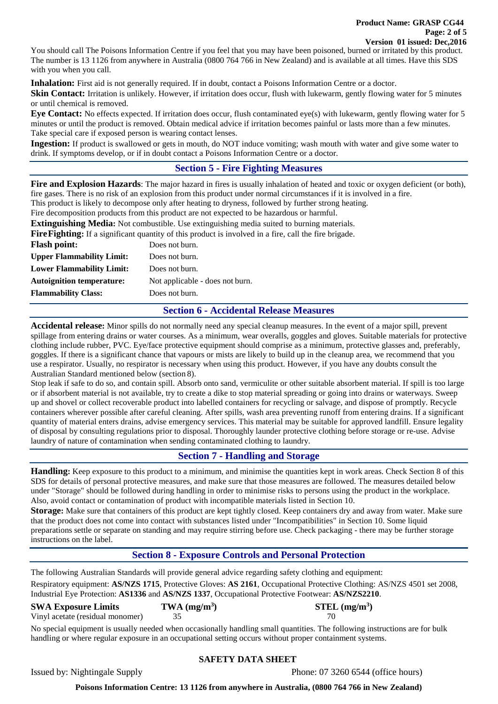You should call The Poisons Information Centre if you feel that you may have been poisoned, burned or irritated by this product. The number is 13 1126 from anywhere in Australia (0800 764 766 in New Zealand) and is available at all times. Have this SDS with you when you call.

**Inhalation:** First aid is not generally required. If in doubt, contact a Poisons Information Centre or a doctor. **Skin Contact:** Irritation is unlikely. However, if irritation does occur, flush with lukewarm, gently flowing water for 5 minutes or until chemical is removed.

**Eye Contact:** No effects expected. If irritation does occur, flush contaminated eye(s) with lukewarm, gently flowing water for 5 minutes or until the product is removed. Obtain medical advice if irritation becomes painful or lasts more than a few minutes. Take special care if exposed person is wearing contact lenses.

**Ingestion:** If product is swallowed or gets in mouth, do NOT induce vomiting; wash mouth with water and give some water to drink. If symptoms develop, or if in doubt contact a Poisons Information Centre or a doctor.

# **Section 5 - Fire Fighting Measures**

**Fire and Explosion Hazards**: The major hazard in fires is usually inhalation of heated and toxic or oxygen deficient (or both), fire gases. There is no risk of an explosion from this product under normal circumstances if it is involved in a fire.

This product is likely to decompose only after heating to dryness, followed by further strong heating.

Fire decomposition products from this product are not expected to be hazardous or harmful. **Extinguishing Media:** Not combustible. Use extinguishing media suited to burning materials.

**FireFighting:** If a significant quantity of this product is involved in a fire, call the fire brigade.

| <b>Flash point:</b>              | Does not burn.                  |
|----------------------------------|---------------------------------|
| <b>Upper Flammability Limit:</b> | Does not burn.                  |
| <b>Lower Flammability Limit:</b> | Does not burn.                  |
| <b>Autoignition temperature:</b> | Not applicable - does not burn. |
| <b>Flammability Class:</b>       | Does not burn.                  |
|                                  |                                 |

## **Section 6 - Accidental Release Measures**

**Accidental release:** Minor spills do not normally need any special cleanup measures. In the event of a major spill, prevent spillage from entering drains or water courses. As a minimum, wear overalls, goggles and gloves. Suitable materials for protective clothing include rubber, PVC. Eye/face protective equipment should comprise as a minimum, protective glasses and, preferably, goggles. If there is a significant chance that vapours or mists are likely to build up in the cleanup area, we recommend that you use a respirator. Usually, no respirator is necessary when using this product. However, if you have any doubts consult the Australian Standard mentioned below (section 8).

Stop leak if safe to do so, and contain spill. Absorb onto sand, vermiculite or other suitable absorbent material. If spill is too large or if absorbent material is not available, try to create a dike to stop material spreading or going into drains or waterways. Sweep up and shovel or collect recoverable product into labelled containers for recycling or salvage, and dispose of promptly. Recycle containers wherever possible after careful cleaning. After spills, wash area preventing runoff from entering drains. If a significant quantity of material enters drains, advise emergency services. This material may be suitable for approved landfill. Ensure legality of disposal by consulting regulations prior to disposal. Thoroughly launder protective clothing before storage or re-use. Advise laundry of nature of contamination when sending contaminated clothing to laundry.

# **Section 7 - Handling and Storage**

**Handling:** Keep exposure to this product to a minimum, and minimise the quantities kept in work areas. Check Section 8 of this SDS for details of personal protective measures, and make sure that those measures are followed. The measures detailed below under "Storage" should be followed during handling in order to minimise risks to persons using the product in the workplace. Also, avoid contact or contamination of product with incompatible materials listed in Section 10.

**Storage:** Make sure that containers of this product are kept tightly closed. Keep containers dry and away from water. Make sure that the product does not come into contact with substances listed under "Incompatibilities" in Section 10. Some liquid preparations settle or separate on standing and may require stirring before use. Check packaging - there may be further storage instructions on the label.

# **Section 8 - Exposure Controls and Personal Protection**

The following Australian Standards will provide general advice regarding safety clothing and equipment:

Respiratory equipment: **AS/NZS 1715**, Protective Gloves: **AS 2161**, Occupational Protective Clothing: AS/NZS 4501 set 2008, Industrial Eye Protection: **AS1336** and **AS/NZS 1337**, Occupational Protective Footwear: **AS/NZS2210**.

## **SWA Exposure Limits TWA (mg/m3**

Vinyl acetate (residual monomer) 35 35 70

**) STEL (mg/m3 )**

No special equipment is usually needed when occasionally handling small quantities. The following instructions are for bulk handling or where regular exposure in an occupational setting occurs without proper containment systems.

## **SAFETY DATA SHEET**

Issued by: Nightingale Supply Phone: 07 3260 6544 (office hours)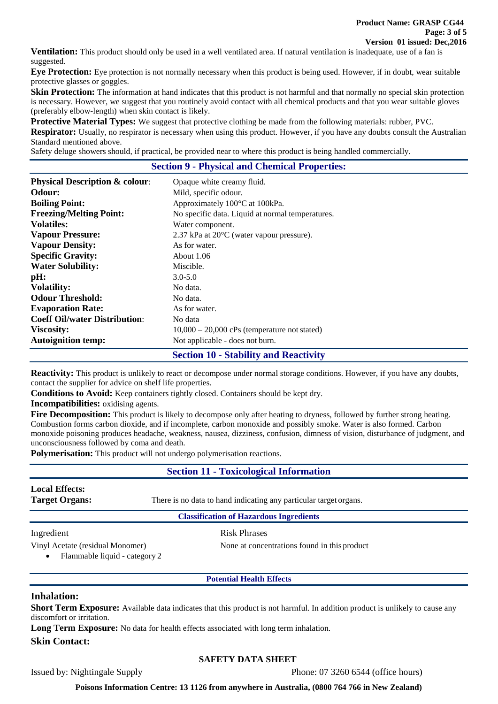**Ventilation:** This product should only be used in a well ventilated area. If natural ventilation is inadequate, use of a fan is suggested.

**Eye Protection:** Eye protection is not normally necessary when this product is being used. However, if in doubt, wear suitable protective glasses or goggles.

**Skin Protection:** The information at hand indicates that this product is not harmful and that normally no special skin protection is necessary. However, we suggest that you routinely avoid contact with all chemical products and that you wear suitable gloves (preferably elbow-length) when skin contact is likely.

**Protective Material Types:** We suggest that protective clothing be made from the following materials: rubber, PVC.

**Respirator:** Usually, no respirator is necessary when using this product. However, if you have any doubts consult the Australian Standard mentioned above.

Safety deluge showers should, if practical, be provided near to where this product is being handled commercially.

#### **Section 9 - Physical and Chemical Properties:**

| <b>Physical Description &amp; colour:</b> | Opaque white creamy fluid.                            |  |  |
|-------------------------------------------|-------------------------------------------------------|--|--|
| <b>Odour:</b>                             | Mild, specific odour.                                 |  |  |
| <b>Boiling Point:</b>                     | Approximately 100°C at 100kPa.                        |  |  |
| <b>Freezing/Melting Point:</b>            | No specific data. Liquid at normal temperatures.      |  |  |
| <b>Volatiles:</b>                         | Water component.                                      |  |  |
| <b>Vapour Pressure:</b>                   | $2.37$ kPa at $20^{\circ}$ C (water vapour pressure). |  |  |
| <b>Vapour Density:</b>                    | As for water.                                         |  |  |
| <b>Specific Gravity:</b>                  | About 1.06                                            |  |  |
| <b>Water Solubility:</b>                  | Miscible.                                             |  |  |
| pH:                                       | $3.0 - 5.0$                                           |  |  |
| <b>Volatility:</b>                        | No data.                                              |  |  |
| <b>Odour Threshold:</b>                   | No data.                                              |  |  |
| <b>Evaporation Rate:</b>                  | As for water.                                         |  |  |
| <b>Coeff Oil/water Distribution:</b>      | No data                                               |  |  |
| <b>Viscosity:</b>                         | $10,000 - 20,000$ cPs (temperature not stated)        |  |  |
| <b>Autoignition temp:</b>                 | Not applicable - does not burn.                       |  |  |
|                                           | <b>Section 10 - Stability and Reactivity</b>          |  |  |

**Reactivity:** This product is unlikely to react or decompose under normal storage conditions. However, if you have any doubts, contact the supplier for advice on shelf life properties.

**Conditions to Avoid:** Keep containers tightly closed. Containers should be kept dry.

**Incompatibilities:** oxidising agents.

Fire Decomposition: This product is likely to decompose only after heating to dryness, followed by further strong heating. Combustion forms carbon dioxide, and if incomplete, carbon monoxide and possibly smoke. Water is also formed. Carbon monoxide poisoning produces headache, weakness, nausea, dizziness, confusion, dimness of vision, disturbance of judgment, and unconsciousness followed by coma and death.

**Polymerisation:** This product will not undergo polymerisation reactions.

## **Section 11 - Toxicological Information**

# **Local Effects:**

**Target Organs:** There is no data to hand indicating any particular target organs.

#### **Classification of Hazardous Ingredients**

Ingredient Risk Phrases

Vinyl Acetate (residual Monomer) None at concentrations found in this product

• Flammable liquid - category 2

## **Potential Health Effects**

## **Inhalation:**

**Short Term Exposure:** Available data indicates that this product is not harmful. In addition product is unlikely to cause any discomfort or irritation.

Long Term Exposure: No data for health effects associated with long term inhalation.

**Skin Contact:**

#### **SAFETY DATA SHEET**

Issued by: Nightingale Supply Phone: 07 3260 6544 (office hours)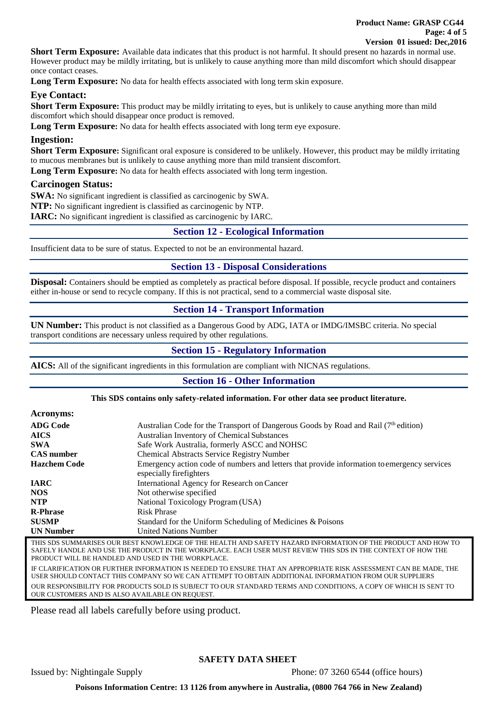**Short Term Exposure:** Available data indicates that this product is not harmful. It should present no hazards in normal use. However product may be mildly irritating, but is unlikely to cause anything more than mild discomfort which should disappear once contact ceases.

Long Term Exposure: No data for health effects associated with long term skin exposure.

## **Eye Contact:**

Short Term Exposure: This product may be mildly irritating to eyes, but is unlikely to cause anything more than mild discomfort which should disappear once product is removed.

**Long Term Exposure:** No data for health effects associated with long term eye exposure.

## **Ingestion:**

Short Term Exposure: Significant oral exposure is considered to be unlikely. However, this product may be mildly irritating to mucous membranes but is unlikely to cause anything more than mild transient discomfort.

**Long Term Exposure:** No data for health effects associated with long term ingestion.

## **Carcinogen Status:**

**SWA:** No significant ingredient is classified as carcinogenic by SWA.

**NTP:** No significant ingredient is classified as carcinogenic by NTP.

**IARC:** No significant ingredient is classified as carcinogenic by IARC.

## **Section 12 - Ecological Information**

Insufficient data to be sure of status. Expected to not be an environmental hazard.

# **Section 13 - Disposal Considerations**

**Disposal:** Containers should be emptied as completely as practical before disposal. If possible, recycle product and containers either in-house or send to recycle company. If this is not practical, send to a commercial waste disposal site.

# **Section 14 - Transport Information**

**UN Number:** This product is not classified as a Dangerous Good by ADG, IATA or IMDG/IMSBC criteria. No special transport conditions are necessary unless required by other regulations.

# **Section 15 - Regulatory Information**

**AICS:** All of the significant ingredients in this formulation are compliant with NICNAS regulations.

# **Section 16 - Other Information**

#### **This SDS contains only safety-related information. For other data see product literature.**

| <b>Acronyms:</b>    |                                                                                                                         |
|---------------------|-------------------------------------------------------------------------------------------------------------------------|
| <b>ADG Code</b>     | Australian Code for the Transport of Dangerous Goods by Road and Rail (7 <sup>th</sup> edition)                         |
| <b>AICS</b>         | <b>Australian Inventory of Chemical Substances</b>                                                                      |
| <b>SWA</b>          | Safe Work Australia, formerly ASCC and NOHSC                                                                            |
| <b>CAS</b> number   | <b>Chemical Abstracts Service Registry Number</b>                                                                       |
| <b>Hazchem Code</b> | Emergency action code of numbers and letters that provide information to emergency services<br>especially fire fighters |
| <b>IARC</b>         | International Agency for Research on Cancer                                                                             |
| NOS.                | Not otherwise specified                                                                                                 |
| <b>NTP</b>          | National Toxicology Program (USA)                                                                                       |
| <b>R-Phrase</b>     | <b>Risk Phrase</b>                                                                                                      |
| <b>SUSMP</b>        | Standard for the Uniform Scheduling of Medicines & Poisons                                                              |
| <b>UN Number</b>    | <b>United Nations Number</b>                                                                                            |

THIS SDS SUMMARISES OUR BEST KNOWLEDGE OF THE HEALTH AND SAFETY HAZARD INFORMATION OF THE PRODUCT AND HOW TO SAFELY HANDLE AND USE THE PRODUCT IN THE WORKPLACE. EACH USER MUST REVIEW THIS SDS IN THE CONTEXT OF HOW THE PRODUCT WILL BE HANDLED AND USED IN THE WORKPLACE. IF CLARIFICATION OR FURTHER INFORMATION IS NEEDED TO ENSURE THAT AN APPROPRIATE RISK ASSESSMENT CAN BE MADE, THE USER SHOULD CONTACT THIS COMPANY SO WE CAN ATTEMPT TO OBTAIN ADDITIONAL INFORMATION FROM OUR SUPPLIERS OUR RESPONSIBILITY FOR PRODUCTS SOLD IS SUBJECT TO OUR STANDARD TERMS AND CONDITIONS, A COPY OF WHICH IS SENT TO OUR CUSTOMERS AND IS ALSO AVAILABLE ON REQUEST.

Please read all labels carefully before using product.

## **SAFETY DATA SHEET**

Issued by: Nightingale Supply Phone: 07 3260 6544 (office hours)